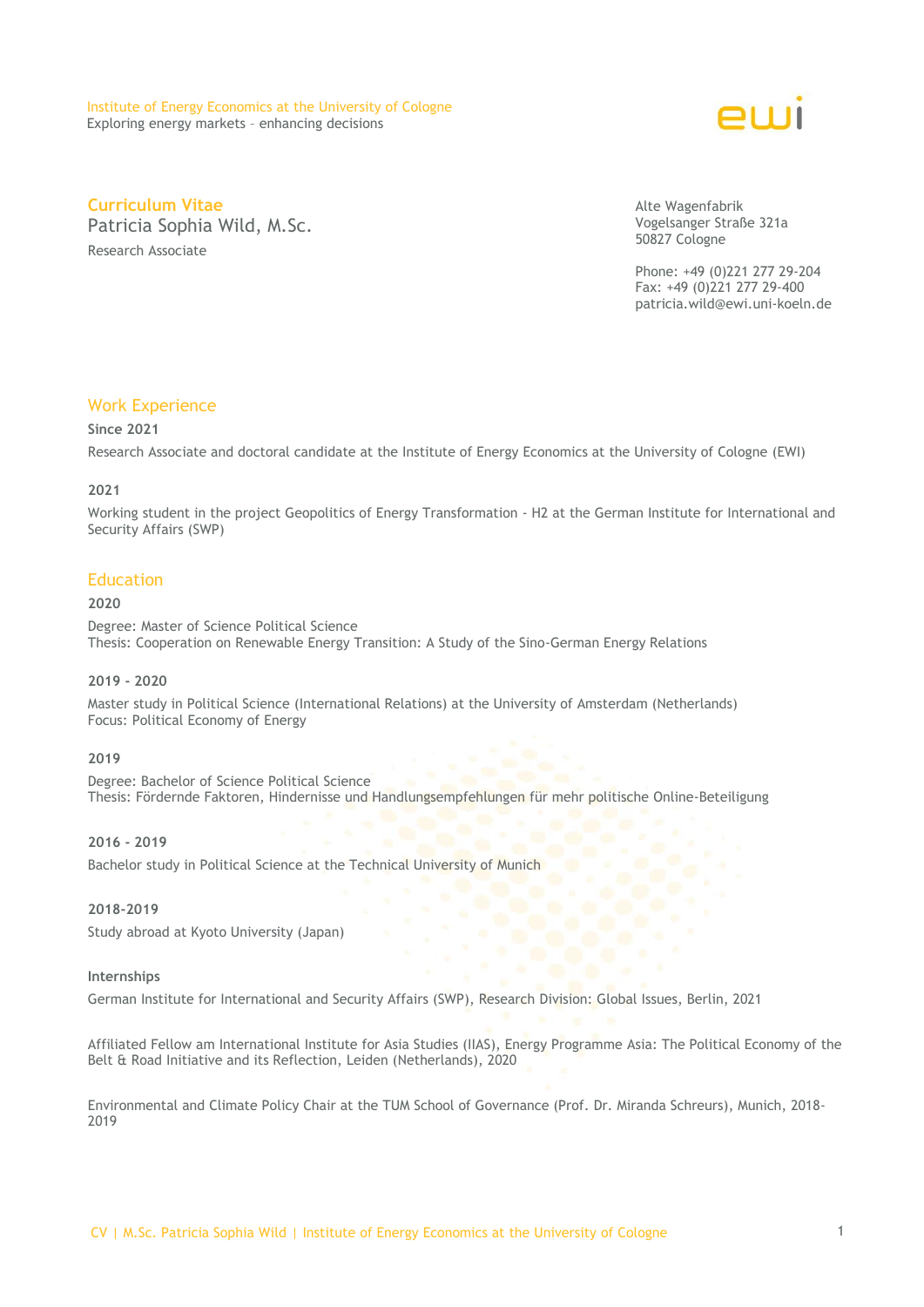

**Curriculum Vitae** Patricia Sophia Wild, M.Sc. Research Associate

Alte Wagenfabrik Vogelsanger Straße 321a 50827 Cologne

Phone: +49 (0)221 277 29-204 Fax: +49 (0)221 277 29-400 patricia.wild@ewi.uni-koeln.de

# Work Experience

### **Since 2021**

Research Associate and doctoral candidate at the Institute of Energy Economics at the University of Cologne (EWI)

### **2021**

Working student in the project Geopolitics of Energy Transformation - H2 at the German Institute for International and Security Affairs (SWP)

# **Education**

## **2020**

Degree: Master of Science Political Science Thesis: Cooperation on Renewable Energy Transition: A Study of the Sino-German Energy Relations

#### **2019 - 2020**

Master study in Political Science (International Relations) at the University of Amsterdam (Netherlands) Focus: Political Economy of Energy

#### **2019**

Degree: Bachelor of Science Political Science Thesis: Fördernde Faktoren, Hindernisse und Handlungsempfehlungen für mehr politische Online-Beteiligung

# **2016 - 2019**

Bachelor study in Political Science at the Technical University of Munich

### **2018-2019**

Study abroad at Kyoto University (Japan)

### **Internships**

German Institute for International and Security Affairs (SWP), Research Division: Global Issues, Berlin, 2021

Affiliated Fellow am International Institute for Asia Studies (IIAS), Energy Programme Asia: The Political Economy of the Belt & Road Initiative and its Reflection, Leiden (Netherlands), 2020

Environmental and Climate Policy Chair at the TUM School of Governance (Prof. Dr. Miranda Schreurs), Munich, 2018- 2019